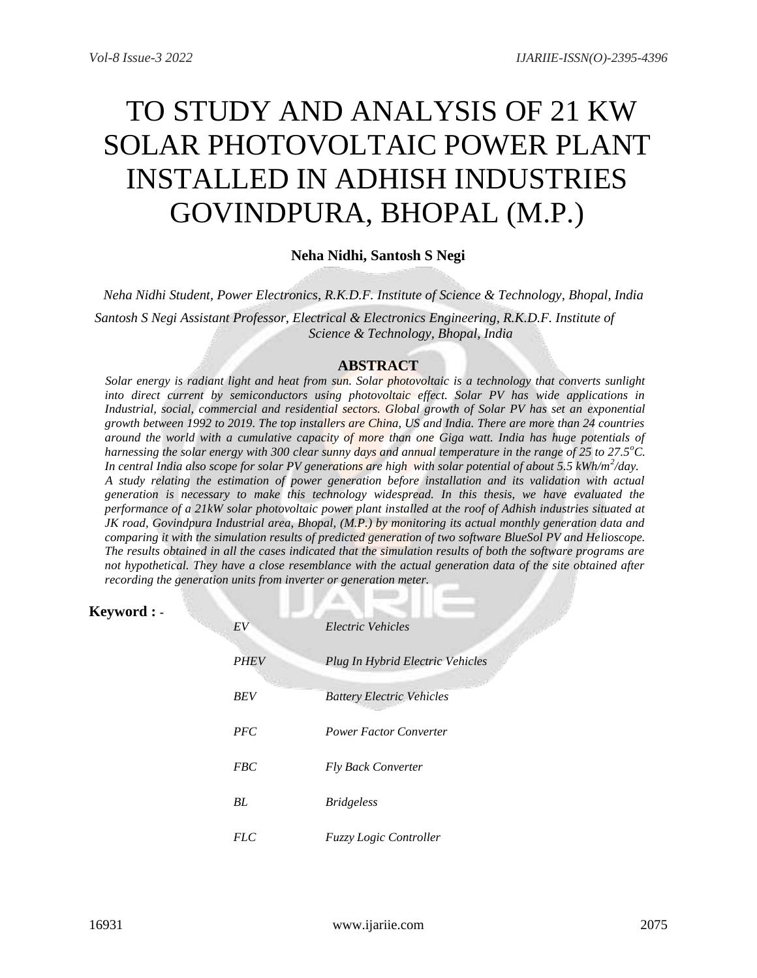# TO STUDY AND ANALYSIS OF 21 KW SOLAR PHOTOVOLTAIC POWER PLANT INSTALLED IN ADHISH INDUSTRIES GOVINDPURA, BHOPAL (M.P.)

# **Neha Nidhi, Santosh S Negi**

*Neha Nidhi Student, Power Electronics, R.K.D.F. Institute of Science & Technology, Bhopal, India Santosh S Negi Assistant Professor, Electrical & Electronics Engineering, R.K.D.F. Institute of Science & Technology, Bhopal, India*

## **ABSTRACT**

*Solar energy is radiant light and heat from sun. Solar photovoltaic is a technology that converts sunlight*  into direct current by semiconductors using photovoltaic effect. Solar PV has wide applications in *Industrial, social, commercial and residential sectors. Global growth of Solar PV has set an exponential growth between 1992 to 2019. The top installers are China, US and India. There are more than 24 countries around the world with a cumulative capacity of more than one Giga watt. India has huge potentials of harnessing the solar energy with 300 clear sunny days and annual temperature in the range of 25 to 27.5<sup>o</sup>C.*  In central India also scope for solar PV generations are high with solar potential of about 5.5 kWh/m<sup>2</sup>/day. *A study relating the estimation of power generation before installation and its validation with actual generation is necessary to make this technology widespread. In this thesis, we have evaluated the performance of a 21kW solar photovoltaic power plant installed at the roof of Adhish industries situated at JK road, Govindpura Industrial area, Bhopal, (M.P.) by monitoring its actual monthly generation data and comparing it with the simulation results of predicted generation of two software BlueSol PV and Helioscope. The results obtained in all the cases indicated that the simulation results of both the software programs are not hypothetical. They have a close resemblance with the actual generation data of the site obtained after recording the generation units from inverter or generation meter.* 

# **Keyword : -**

| EV          | Electric Vehicles                |
|-------------|----------------------------------|
| <b>PHEV</b> | Plug In Hybrid Electric Vehicles |
| <b>BEV</b>  | <b>Battery Electric Vehicles</b> |
| PFC         | <b>Power Factor Converter</b>    |
| <b>FBC</b>  | <b>Fly Back Converter</b>        |
| BL          | <i>Bridgeless</i>                |
| <i>FLC</i>  | <i>Fuzzy Logic Controller</i>    |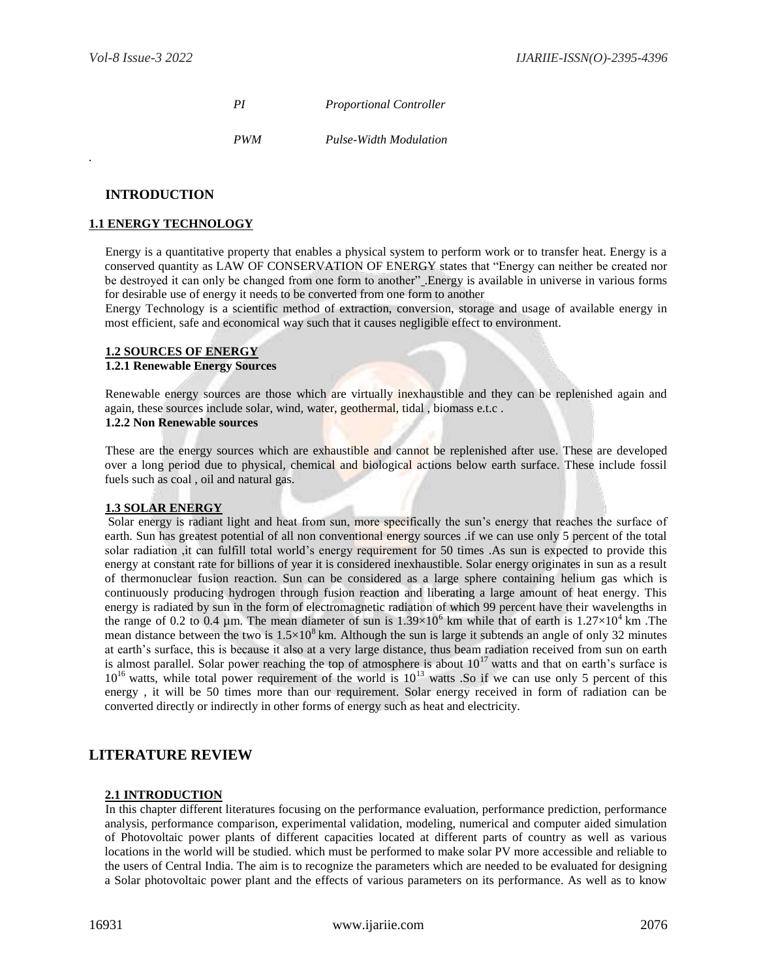*.*

*PI Proportional Controller*

*PWM Pulse-Width Modulation*

#### **INTRODUCTION**

#### **1.1 ENERGY TECHNOLOGY**

Energy is a quantitative property that enables a physical system to perform work or to transfer heat. Energy is a conserved quantity as LAW OF CONSERVATION OF ENERGY states that "Energy can neither be created nor be destroyed it can only be changed from one form to another" .Energy is available in universe in various forms for desirable use of energy it needs to be converted from one form to another

Energy Technology is a scientific method of extraction, conversion, storage and usage of available energy in most efficient, safe and economical way such that it causes negligible effect to environment.

#### **1.2 SOURCES OF ENERGY 1.2.1 Renewable Energy Sources**

Renewable energy sources are those which are virtually inexhaustible and they can be replenished again and again, these sources include solar, wind, water, geothermal, tidal , biomass e.t.c .

#### **1.2.2 Non Renewable sources**

These are the energy sources which are exhaustible and cannot be replenished after use. These are developed over a long period due to physical, chemical and biological actions below earth surface. These include fossil fuels such as coal , oil and natural gas.

#### **1.3 SOLAR ENERGY**

Solar energy is radiant light and heat from sun, more specifically the sun's energy that reaches the surface of earth. Sun has greatest potential of all non conventional energy sources .if we can use only 5 percent of the total solar radiation ,it can fulfill total world's energy requirement for 50 times .As sun is expected to provide this energy at constant rate for billions of year it is considered inexhaustible. Solar energy originates in sun as a result of thermonuclear fusion reaction. Sun can be considered as a large sphere containing helium gas which is continuously producing hydrogen through fusion reaction and liberating a large amount of heat energy. This energy is radiated by sun in the form of electromagnetic radiation of which 99 percent have their wavelengths in the range of 0.2 to 0.4 µm. The mean diameter of sun is  $1.39\times10^6$  km while that of earth is  $1.27\times10^4$  km. The mean distance between the two is  $1.5\times10^8$  km. Although the sun is large it subtends an angle of only 32 minutes at earth's surface, this is because it also at a very large distance, thus beam radiation received from sun on earth is almost parallel. Solar power reaching the top of atmosphere is about  $10^{17}$  watts and that on earth's surface is  $10^{16}$  watts, while total power requirement of the world is  $10^{13}$  watts .So if we can use only 5 percent of this energy , it will be 50 times more than our requirement. Solar energy received in form of radiation can be converted directly or indirectly in other forms of energy such as heat and electricity.

## **LITERATURE REVIEW**

#### **2.1 INTRODUCTION**

In this chapter different literatures focusing on the performance evaluation, performance prediction, performance analysis, performance comparison, experimental validation, modeling, numerical and computer aided simulation of Photovoltaic power plants of different capacities located at different parts of country as well as various locations in the world will be studied. which must be performed to make solar PV more accessible and reliable to the users of Central India. The aim is to recognize the parameters which are needed to be evaluated for designing a Solar photovoltaic power plant and the effects of various parameters on its performance. As well as to know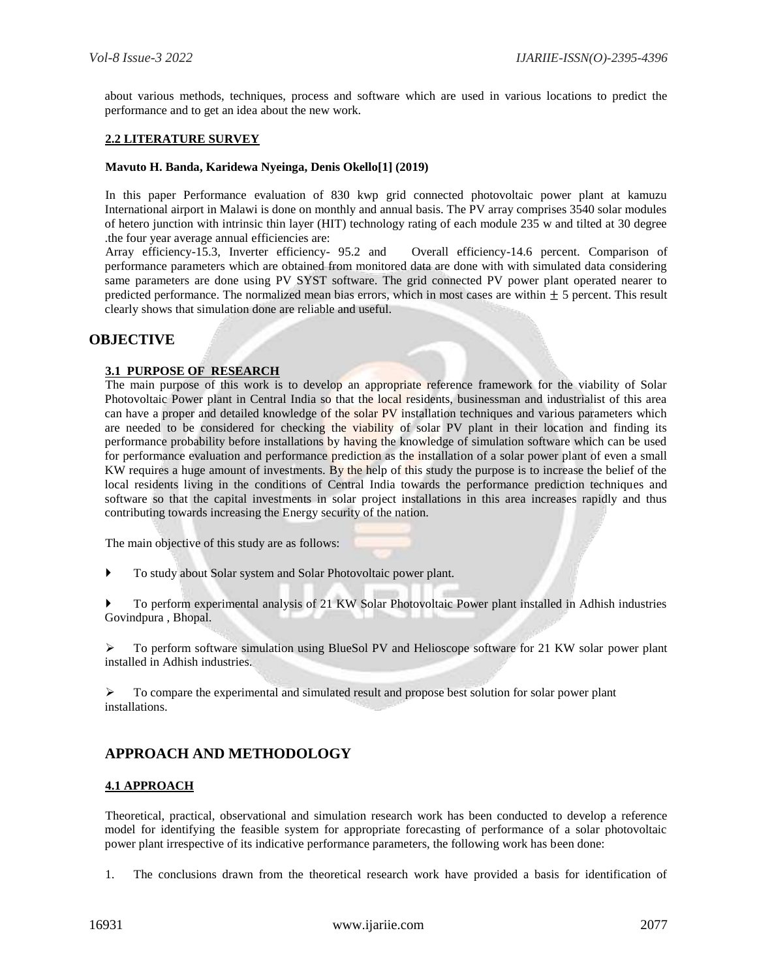about various methods, techniques, process and software which are used in various locations to predict the performance and to get an idea about the new work.

#### **2.2 LITERATURE SURVEY**

#### **Mavuto H. Banda, Karidewa Nyeinga, Denis Okello[1] (2019)**

In this paper Performance evaluation of 830 kwp grid connected photovoltaic power plant at kamuzu International airport in Malawi is done on monthly and annual basis. The PV array comprises 3540 solar modules of hetero junction with intrinsic thin layer (HIT) technology rating of each module 235 w and tilted at 30 degree .the four year average annual efficiencies are:

Array efficiency-15.3, Inverter efficiency- 95.2 and Overall efficiency-14.6 percent. Comparison of performance parameters which are obtained from monitored data are done with with simulated data considering same parameters are done using PV SYST software. The grid connected PV power plant operated nearer to predicted performance. The normalized mean bias errors, which in most cases are within  $\pm$  5 percent. This result clearly shows that simulation done are reliable and useful.

## **OBJECTIVE**

#### **3.1 PURPOSE OF RESEARCH**

The main purpose of this work is to develop an appropriate reference framework for the viability of Solar Photovoltaic Power plant in Central India so that the local residents, businessman and industrialist of this area can have a proper and detailed knowledge of the solar PV installation techniques and various parameters which are needed to be considered for checking the viability of solar PV plant in their location and finding its performance probability before installations by having the knowledge of simulation software which can be used for performance evaluation and performance prediction as the installation of a solar power plant of even a small KW requires a huge amount of investments. By the help of this study the purpose is to increase the belief of the local residents living in the conditions of Central India towards the performance prediction techniques and software so that the capital investments in solar project installations in this area increases rapidly and thus contributing towards increasing the Energy security of the nation.

The main objective of this study are as follows:

To study about Solar system and Solar Photovoltaic power plant.

 To perform experimental analysis of 21 KW Solar Photovoltaic Power plant installed in Adhish industries Govindpura , Bhopal.

 $\triangleright$  To perform software simulation using BlueSol PV and Helioscope software for 21 KW solar power plant installed in Adhish industries.

 $\triangleright$  To compare the experimental and simulated result and propose best solution for solar power plant installations.

# **APPROACH AND METHODOLOGY**

#### **4.1 APPROACH**

Theoretical, practical, observational and simulation research work has been conducted to develop a reference model for identifying the feasible system for appropriate forecasting of performance of a solar photovoltaic power plant irrespective of its indicative performance parameters, the following work has been done:

1. The conclusions drawn from the theoretical research work have provided a basis for identification of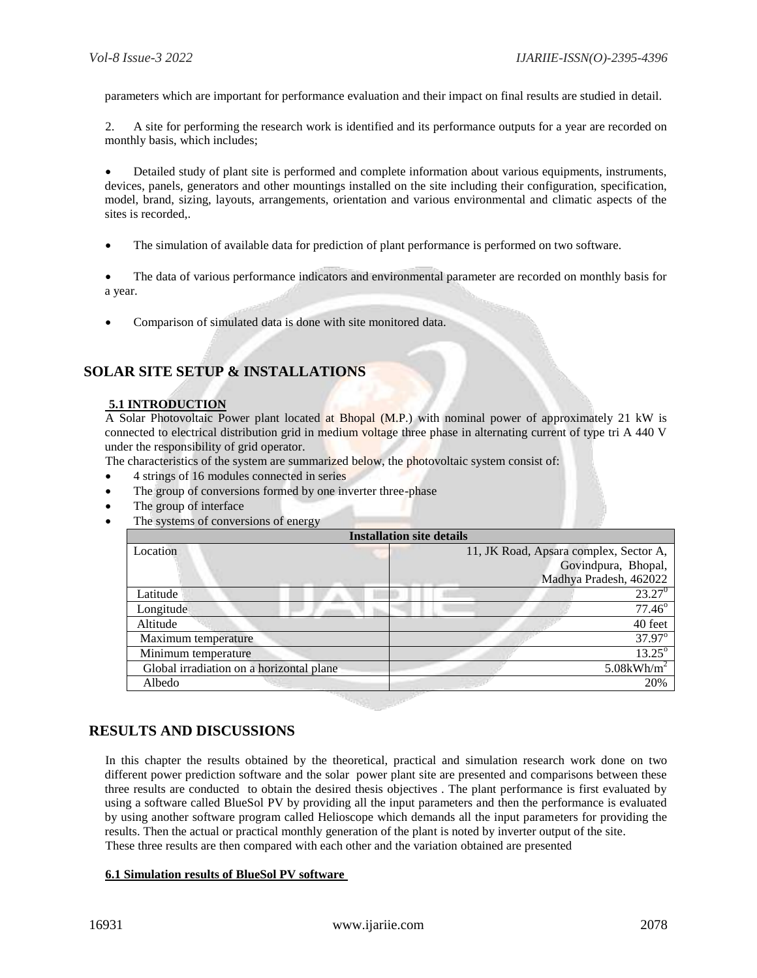parameters which are important for performance evaluation and their impact on final results are studied in detail.

2. A site for performing the research work is identified and its performance outputs for a year are recorded on monthly basis, which includes;

 Detailed study of plant site is performed and complete information about various equipments, instruments, devices, panels, generators and other mountings installed on the site including their configuration, specification, model, brand, sizing, layouts, arrangements, orientation and various environmental and climatic aspects of the sites is recorded,.

The simulation of available data for prediction of plant performance is performed on two software.

 The data of various performance indicators and environmental parameter are recorded on monthly basis for a year.

Comparison of simulated data is done with site monitored data.

# **SOLAR SITE SETUP & INSTALLATIONS**

## **5.1 INTRODUCTION**

A Solar Photovoltaic Power plant located at Bhopal (M.P.) with nominal power of approximately 21 kW is connected to electrical distribution grid in medium voltage three phase in alternating current of type tri A 440 V under the responsibility of grid operator.

The characteristics of the system are summarized below, the photovoltaic system consist of:

- 4 strings of 16 modules connected in series
- The group of conversions formed by one inverter three-phase
- The group of interface
- The systems of conversions of energy

| <b>Installation site details</b>         |                                        |  |  |  |  |  |
|------------------------------------------|----------------------------------------|--|--|--|--|--|
| Location                                 | 11, JK Road, Apsara complex, Sector A, |  |  |  |  |  |
|                                          | Govindpura, Bhopal,                    |  |  |  |  |  |
|                                          | Madhya Pradesh, 462022                 |  |  |  |  |  |
| Latitude                                 | $23.27^0$                              |  |  |  |  |  |
| Longitude                                | $77.46^{\circ}$                        |  |  |  |  |  |
| Altitude                                 | 40 feet                                |  |  |  |  |  |
| Maximum temperature                      | 37.97°                                 |  |  |  |  |  |
| Minimum temperature                      | $13.25^{\circ}$                        |  |  |  |  |  |
| Global irradiation on a horizontal plane | $5.08$ kWh/m <sup>2</sup>              |  |  |  |  |  |
| Albedo                                   | 20%                                    |  |  |  |  |  |
|                                          |                                        |  |  |  |  |  |

## **RESULTS AND DISCUSSIONS**

In this chapter the results obtained by the theoretical, practical and simulation research work done on two different power prediction software and the solar power plant site are presented and comparisons between these three results are conducted to obtain the desired thesis objectives . The plant performance is first evaluated by using a software called BlueSol PV by providing all the input parameters and then the performance is evaluated by using another software program called Helioscope which demands all the input parameters for providing the results. Then the actual or practical monthly generation of the plant is noted by inverter output of the site. These three results are then compared with each other and the variation obtained are presented

#### **6.1 Simulation results of BlueSol PV software**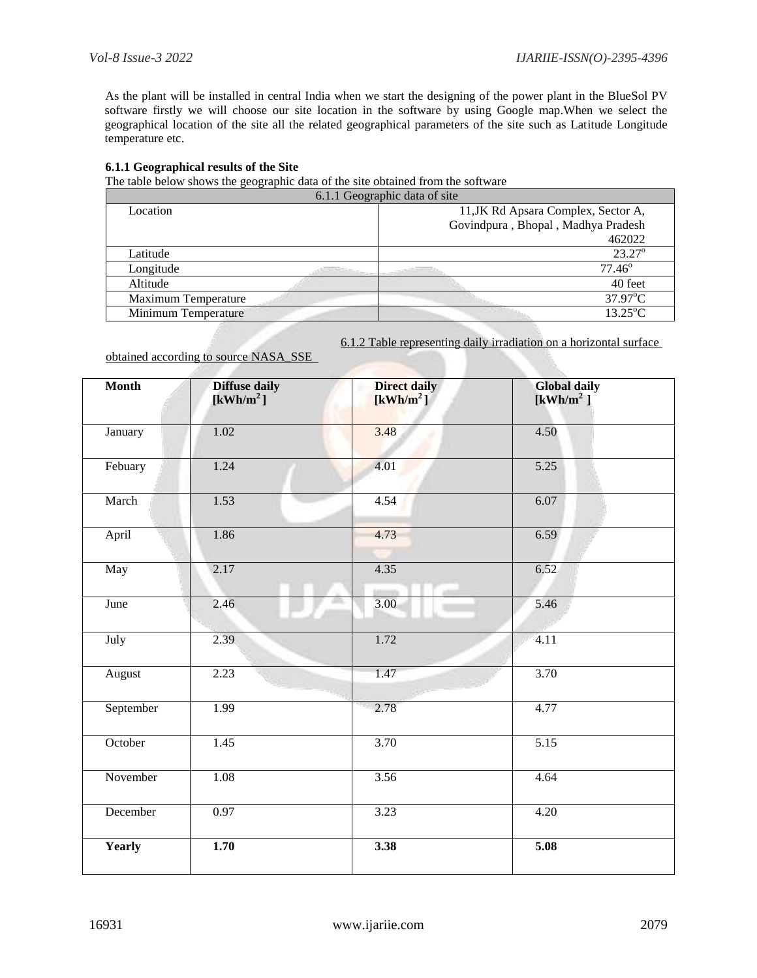As the plant will be installed in central India when we start the designing of the power plant in the BlueSol PV software firstly we will choose our site location in the software by using Google map.When we select the geographical location of the site all the related geographical parameters of the site such as Latitude Longitude temperature etc.

#### **6.1.1 Geographical results of the Site**

The table below shows the geographic data of the site obtained from the software

| 6.1.1 Geographic data of site |                                     |  |  |  |  |  |
|-------------------------------|-------------------------------------|--|--|--|--|--|
| Location                      | 11, JK Rd Apsara Complex, Sector A, |  |  |  |  |  |
|                               | Govindpura, Bhopal, Madhya Pradesh  |  |  |  |  |  |
|                               | 462022                              |  |  |  |  |  |
| Latitude                      | $23.27^{\circ}$                     |  |  |  |  |  |
| Longitude                     | $77.46^{\circ}$                     |  |  |  |  |  |
| Altitude                      | 40 feet                             |  |  |  |  |  |
| Maximum Temperature           | 37.97°C                             |  |  |  |  |  |
| Minimum Temperature           | $13.25^{\circ}$ C                   |  |  |  |  |  |

**Direct daily** 

obtained

**Month Diffuse daily** 

6.1.2 Table representing daily irradiation on a horizontal surface

**Global daily** 

| d according to source NASA SSE |  |  |  |  |
|--------------------------------|--|--|--|--|

**[kWh/m<sup>2</sup>] [kWh/m<sup>2</sup>] [kWh/m<sup>2</sup>]** January 1.02 3.48 4.50 Febuary 1.24 4.01 5.25 March 1.53 4.54 6.07 April 1.86 1.86 1.86 1.873 6.59 May 2.17 4.35 6.52 June 2.46 3.00 3.00 5.46 July 2.39 1.72 4.11 August 2.23 1.47 3.70 September 1.99 2.78 4.77 October 1.45 3.70 5.15 November 1.08 3.56 4.64 December 0.97 3.23 4.20 **Yearly 1.70 3.38 5.08**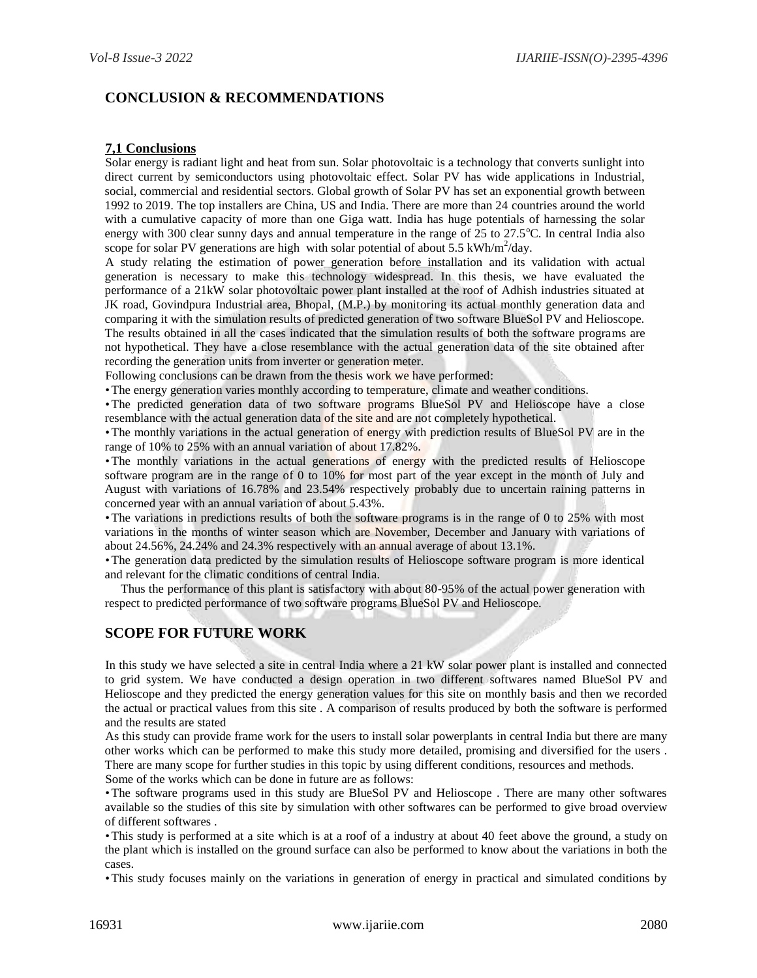# **CONCLUSION & RECOMMENDATIONS**

#### **7,1 Conclusions**

Solar energy is radiant light and heat from sun. Solar photovoltaic is a technology that converts sunlight into direct current by semiconductors using photovoltaic effect. Solar PV has wide applications in Industrial, social, commercial and residential sectors. Global growth of Solar PV has set an exponential growth between 1992 to 2019. The top installers are China, US and India. There are more than 24 countries around the world with a cumulative capacity of more than one Giga watt. India has huge potentials of harnessing the solar energy with 300 clear sunny days and annual temperature in the range of  $25$  to  $27.5^{\circ}$ C. In central India also scope for solar PV generations are high with solar potential of about 5.5 kWh/m<sup>2</sup>/day.

A study relating the estimation of power generation before installation and its validation with actual generation is necessary to make this technology widespread. In this thesis, we have evaluated the performance of a 21kW solar photovoltaic power plant installed at the roof of Adhish industries situated at JK road, Govindpura Industrial area, Bhopal, (M.P.) by monitoring its actual monthly generation data and comparing it with the simulation results of predicted generation of two software BlueSol PV and Helioscope. The results obtained in all the cases indicated that the simulation results of both the software programs are not hypothetical. They have a close resemblance with the actual generation data of the site obtained after recording the generation units from inverter or generation meter.

Following conclusions can be drawn from the thesis work we have performed:

•The energy generation varies monthly according to temperature, climate and weather conditions.

•The predicted generation data of two software programs BlueSol PV and Helioscope have a close resemblance with the actual generation data of the site and are not completely hypothetical.

•The monthly variations in the actual generation of energy with prediction results of BlueSol PV are in the range of 10% to 25% with an annual variation of about 17.82%.

•The monthly variations in the actual generations of energy with the predicted results of Helioscope software program are in the range of 0 to 10% for most part of the year except in the month of July and August with variations of 16.78% and 23.54% respectively probably due to uncertain raining patterns in concerned year with an annual variation of about 5.43%.

•The variations in predictions results of both the software programs is in the range of 0 to 25% with most variations in the months of winter season which are November, December and January with variations of about 24.56%, 24.24% and 24.3% respectively with an annual average of about 13.1%.

•The generation data predicted by the simulation results of Helioscope software program is more identical and relevant for the climatic conditions of central India.

 Thus the performance of this plant is satisfactory with about 80-95% of the actual power generation with respect to predicted performance of two software programs BlueSol PV and Helioscope.

# **SCOPE FOR FUTURE WORK**

In this study we have selected a site in central India where a 21 kW solar power plant is installed and connected to grid system. We have conducted a design operation in two different softwares named BlueSol PV and Helioscope and they predicted the energy generation values for this site on monthly basis and then we recorded the actual or practical values from this site . A comparison of results produced by both the software is performed and the results are stated

As this study can provide frame work for the users to install solar powerplants in central India but there are many other works which can be performed to make this study more detailed, promising and diversified for the users . There are many scope for further studies in this topic by using different conditions, resources and methods.

Some of the works which can be done in future are as follows:

•The software programs used in this study are BlueSol PV and Helioscope . There are many other softwares available so the studies of this site by simulation with other softwares can be performed to give broad overview of different softwares .

•This study is performed at a site which is at a roof of a industry at about 40 feet above the ground, a study on the plant which is installed on the ground surface can also be performed to know about the variations in both the cases.

•This study focuses mainly on the variations in generation of energy in practical and simulated conditions by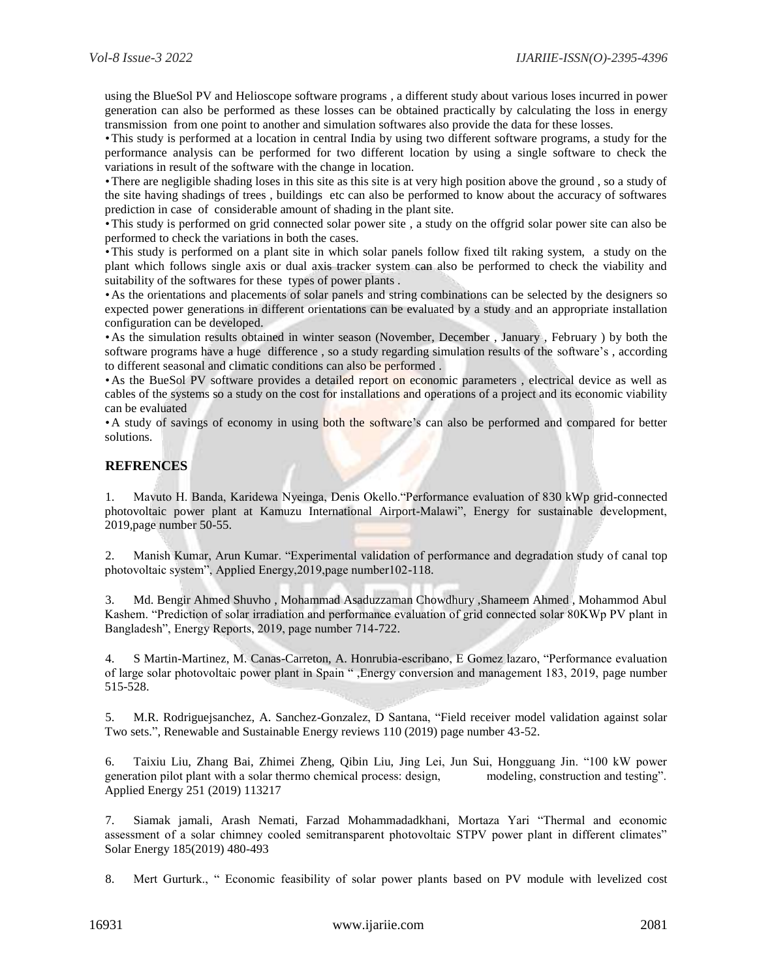using the BlueSol PV and Helioscope software programs , a different study about various loses incurred in power generation can also be performed as these losses can be obtained practically by calculating the loss in energy transmission from one point to another and simulation softwares also provide the data for these losses.

•This study is performed at a location in central India by using two different software programs, a study for the performance analysis can be performed for two different location by using a single software to check the variations in result of the software with the change in location.

•There are negligible shading loses in this site as this site is at very high position above the ground , so a study of the site having shadings of trees , buildings etc can also be performed to know about the accuracy of softwares prediction in case of considerable amount of shading in the plant site.

•This study is performed on grid connected solar power site , a study on the offgrid solar power site can also be performed to check the variations in both the cases.

•This study is performed on a plant site in which solar panels follow fixed tilt raking system, a study on the plant which follows single axis or dual axis tracker system can also be performed to check the viability and suitability of the softwares for these types of power plants .

•As the orientations and placements of solar panels and string combinations can be selected by the designers so expected power generations in different orientations can be evaluated by a study and an appropriate installation configuration can be developed.

•As the simulation results obtained in winter season (November, December , January , February ) by both the software programs have a huge difference , so a study regarding simulation results of the software's , according to different seasonal and climatic conditions can also be performed .

•As the BueSol PV software provides a detailed report on economic parameters , electrical device as well as cables of the systems so a study on the cost for installations and operations of a project and its economic viability can be evaluated

•A study of savings of economy in using both the software's can also be performed and compared for better solutions.

#### **REFRENCES**

1. Mavuto H. Banda, Karidewa Nyeinga, Denis Okello."Performance evaluation of 830 kWp grid-connected photovoltaic power plant at Kamuzu International Airport-Malawi", Energy for sustainable development, 2019,page number 50-55.

2. Manish Kumar, Arun Kumar. "Experimental validation of performance and degradation study of canal top photovoltaic system", Applied Energy,2019,page number102-118.

3. Md. Bengir Ahmed Shuvho , Mohammad Asaduzzaman Chowdhury ,Shameem Ahmed , Mohammod Abul Kashem. "Prediction of solar irradiation and performance evaluation of grid connected solar 80KWp PV plant in Bangladesh", Energy Reports, 2019, page number 714-722.

4. S Martin-Martinez, M. Canas-Carreton, A. Honrubia-escribano, E Gomez lazaro, "Performance evaluation of large solar photovoltaic power plant in Spain " ,Energy conversion and management 183, 2019, page number 515-528.

5. M.R. Rodriguejsanchez, A. Sanchez-Gonzalez, D Santana, "Field receiver model validation against solar Two sets.", Renewable and Sustainable Energy reviews 110 (2019) page number 43-52.

6. Taixiu Liu, Zhang Bai, Zhimei Zheng, Qibin Liu, Jing Lei, Jun Sui, Hongguang Jin. "100 kW power generation pilot plant with a solar thermo chemical process: design, modeling, construction and testing". Applied Energy 251 (2019) 113217

7. Siamak jamali, Arash Nemati, Farzad Mohammadadkhani, Mortaza Yari "Thermal and economic assessment of a solar chimney cooled semitransparent photovoltaic STPV power plant in different climates" Solar Energy 185(2019) 480-493

8. Mert Gurturk., " Economic feasibility of solar power plants based on PV module with levelized cost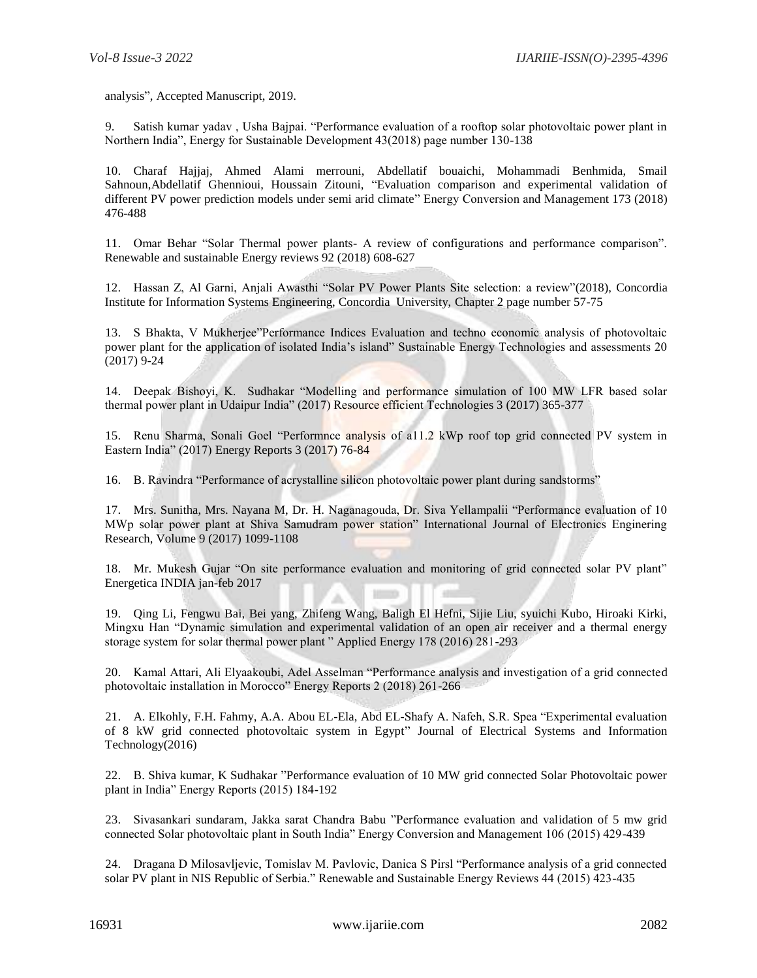analysis", Accepted Manuscript, 2019.

9. Satish kumar yadav , Usha Bajpai. "Performance evaluation of a rooftop solar photovoltaic power plant in Northern India", Energy for Sustainable Development 43(2018) page number 130-138

10. Charaf Hajjaj, Ahmed Alami merrouni, Abdellatif bouaichi, Mohammadi Benhmida, Smail Sahnoun,Abdellatif Ghennioui, Houssain Zitouni, "Evaluation comparison and experimental validation of different PV power prediction models under semi arid climate" Energy Conversion and Management 173 (2018) 476-488

11. Omar Behar "Solar Thermal power plants- A review of configurations and performance comparison". Renewable and sustainable Energy reviews 92 (2018) 608-627

12. Hassan Z, Al Garni, Anjali Awasthi "Solar PV Power Plants Site selection: a review"(2018), Concordia Institute for Information Systems Engineering, Concordia University, Chapter 2 page number 57-75

13. S Bhakta, V Mukherjee"Performance Indices Evaluation and techno economic analysis of photovoltaic power plant for the application of isolated India's island" Sustainable Energy Technologies and assessments 20 (2017) 9-24

14. Deepak Bishoyi, K. Sudhakar "Modelling and performance simulation of 100 MW LFR based solar thermal power plant in Udaipur India" (2017) Resource efficient Technologies 3 (2017) 365-377

15. Renu Sharma, Sonali Goel "Performnce analysis of a11.2 kWp roof top grid connected PV system in Eastern India" (2017) Energy Reports 3 (2017) 76-84

16. B. Ravindra "Performance of acrystalline silicon photovoltaic power plant during sandstorms"

17. Mrs. Sunitha, Mrs. Nayana M, Dr. H. Naganagouda, Dr. Siva Yellampalii "Performance evaluation of 10 MWp solar power plant at Shiva Samudram power station" International Journal of Electronics Enginering Research, Volume 9 (2017) 1099-1108

18. Mr. Mukesh Gujar "On site performance evaluation and monitoring of grid connected solar PV plant" Energetica INDIA jan-feb 2017

19. Qing Li, Fengwu Bai, Bei yang, Zhifeng Wang, Baligh El Hefni, Sijie Liu, syuichi Kubo, Hiroaki Kirki, Mingxu Han "Dynamic simulation and experimental validation of an open air receiver and a thermal energy storage system for solar thermal power plant " Applied Energy 178 (2016) 281-293

20. Kamal Attari, Ali Elyaakoubi, Adel Asselman "Performance analysis and investigation of a grid connected photovoltaic installation in Morocco" Energy Reports 2 (2018) 261-266

21. A. Elkohly, F.H. Fahmy, A.A. Abou EL-Ela, Abd EL-Shafy A. Nafeh, S.R. Spea "Experimental evaluation of 8 kW grid connected photovoltaic system in Egypt" Journal of Electrical Systems and Information Technology(2016)

22. B. Shiva kumar, K Sudhakar "Performance evaluation of 10 MW grid connected Solar Photovoltaic power plant in India" Energy Reports (2015) 184-192

23. Sivasankari sundaram, Jakka sarat Chandra Babu "Performance evaluation and validation of 5 mw grid connected Solar photovoltaic plant in South India" Energy Conversion and Management 106 (2015) 429-439

24. Dragana D Milosavljevic, Tomislav M. Pavlovic, Danica S Pirsl "Performance analysis of a grid connected solar PV plant in NIS Republic of Serbia." Renewable and Sustainable Energy Reviews 44 (2015) 423-435